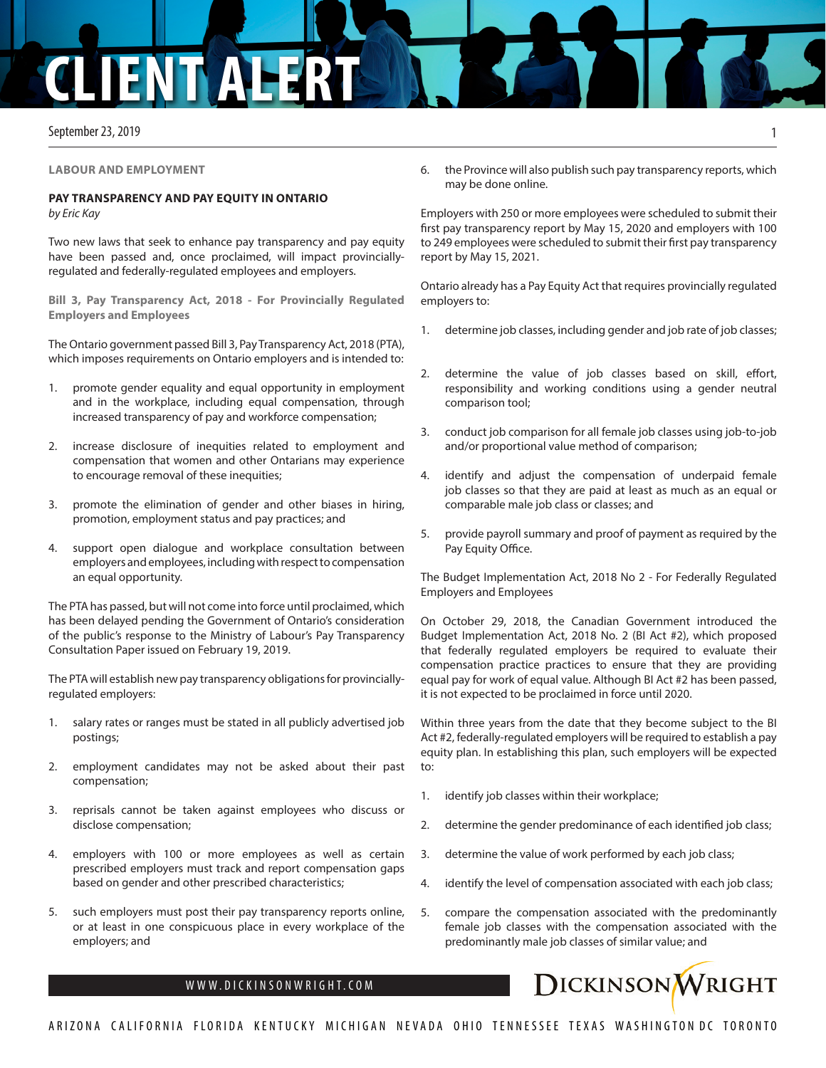## **ENTAL**

September 23, 2019

**LABOUR AND EMPLOYMENT**

## **PAY TRANSPARENCY AND PAY EQUITY IN ONTARIO**

*by Eric Kay*

Two new laws that seek to enhance pay transparency and pay equity have been passed and, once proclaimed, will impact provinciallyregulated and federally-regulated employees and employers.

**Bill 3, Pay Transparency Act, 2018 - For Provincially Regulated Employers and Employees**

The Ontario government passed Bill 3, Pay Transparency Act, 2018 (PTA), which imposes requirements on Ontario employers and is intended to:

- 1. promote gender equality and equal opportunity in employment and in the workplace, including equal compensation, through increased transparency of pay and workforce compensation;
- 2. increase disclosure of inequities related to employment and compensation that women and other Ontarians may experience to encourage removal of these inequities;
- 3. promote the elimination of gender and other biases in hiring, promotion, employment status and pay practices; and
- 4. support open dialogue and workplace consultation between employers and employees, including with respect to compensation an equal opportunity.

The PTA has passed, but will not come into force until proclaimed, which has been delayed pending the Government of Ontario's consideration of the public's response to the Ministry of Labour's Pay Transparency Consultation Paper issued on February 19, 2019.

The PTA will establish new pay transparency obligations for provinciallyregulated employers:

- 1. salary rates or ranges must be stated in all publicly advertised job postings;
- 2. employment candidates may not be asked about their past compensation;
- 3. reprisals cannot be taken against employees who discuss or disclose compensation;
- 4. employers with 100 or more employees as well as certain prescribed employers must track and report compensation gaps based on gender and other prescribed characteristics;
- 5. such employers must post their pay transparency reports online, or at least in one conspicuous place in every workplace of the employers; and

6. the Province will also publish such pay transparency reports, which may be done online.

Employers with 250 or more employees were scheduled to submit their first pay transparency report by May 15, 2020 and employers with 100 to 249 employees were scheduled to submit their first pay transparency report by May 15, 2021.

Ontario already has a Pay Equity Act that requires provincially regulated employers to:

- 1. determine job classes, including gender and job rate of job classes;
- 2. determine the value of job classes based on skill, effort, responsibility and working conditions using a gender neutral comparison tool;
- 3. conduct job comparison for all female job classes using job-to-job and/or proportional value method of comparison;
- 4. identify and adjust the compensation of underpaid female job classes so that they are paid at least as much as an equal or comparable male job class or classes; and
- 5. provide payroll summary and proof of payment as required by the Pay Equity Office.

The Budget Implementation Act, 2018 No 2 - For Federally Regulated Employers and Employees

On October 29, 2018, the Canadian Government introduced the Budget Implementation Act, 2018 No. 2 (BI Act #2), which proposed that federally regulated employers be required to evaluate their compensation practice practices to ensure that they are providing equal pay for work of equal value. Although BI Act #2 has been passed, it is not expected to be proclaimed in force until 2020.

Within three years from the date that they become subject to the BI Act #2, federally-regulated employers will be required to establish a pay equity plan. In establishing this plan, such employers will be expected to:

- 1. identify job classes within their workplace;
- 2. determine the gender predominance of each identified job class;
- 3. determine the value of work performed by each job class;
- 4. identify the level of compensation associated with each job class;
- 5. compare the compensation associated with the predominantly female job classes with the compensation associated with the predominantly male job classes of similar value; and



1